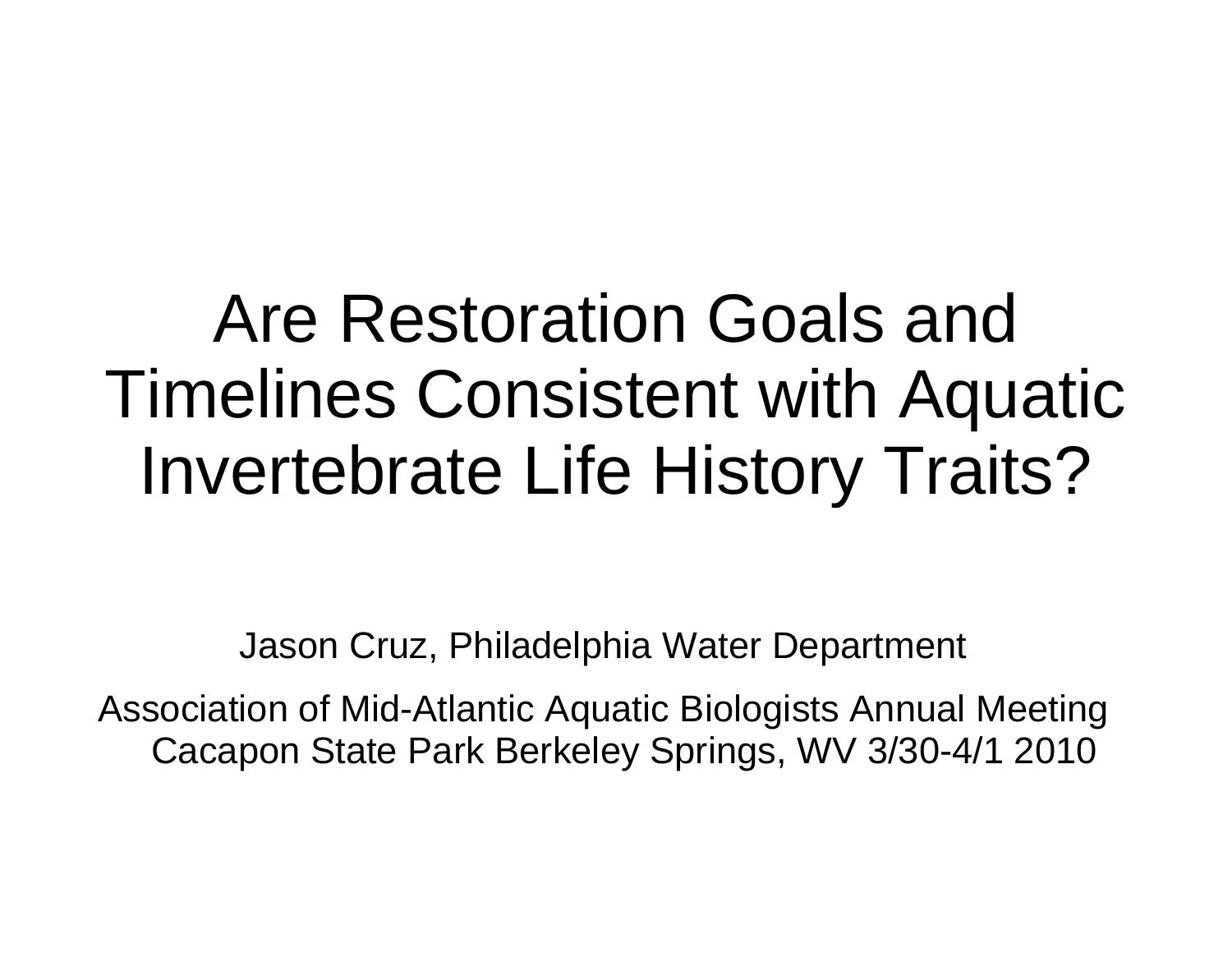### Are Restoration Goals and Timelines Consistent with Aquatic Invertebrate Life History Traits?

Jason Cruz, Philadelphia Water Department

Association of Mid-Atlantic Aquatic Biologists Annual Meeting Cacapon State Park Berkeley Springs, WV 3/30-4/1 2010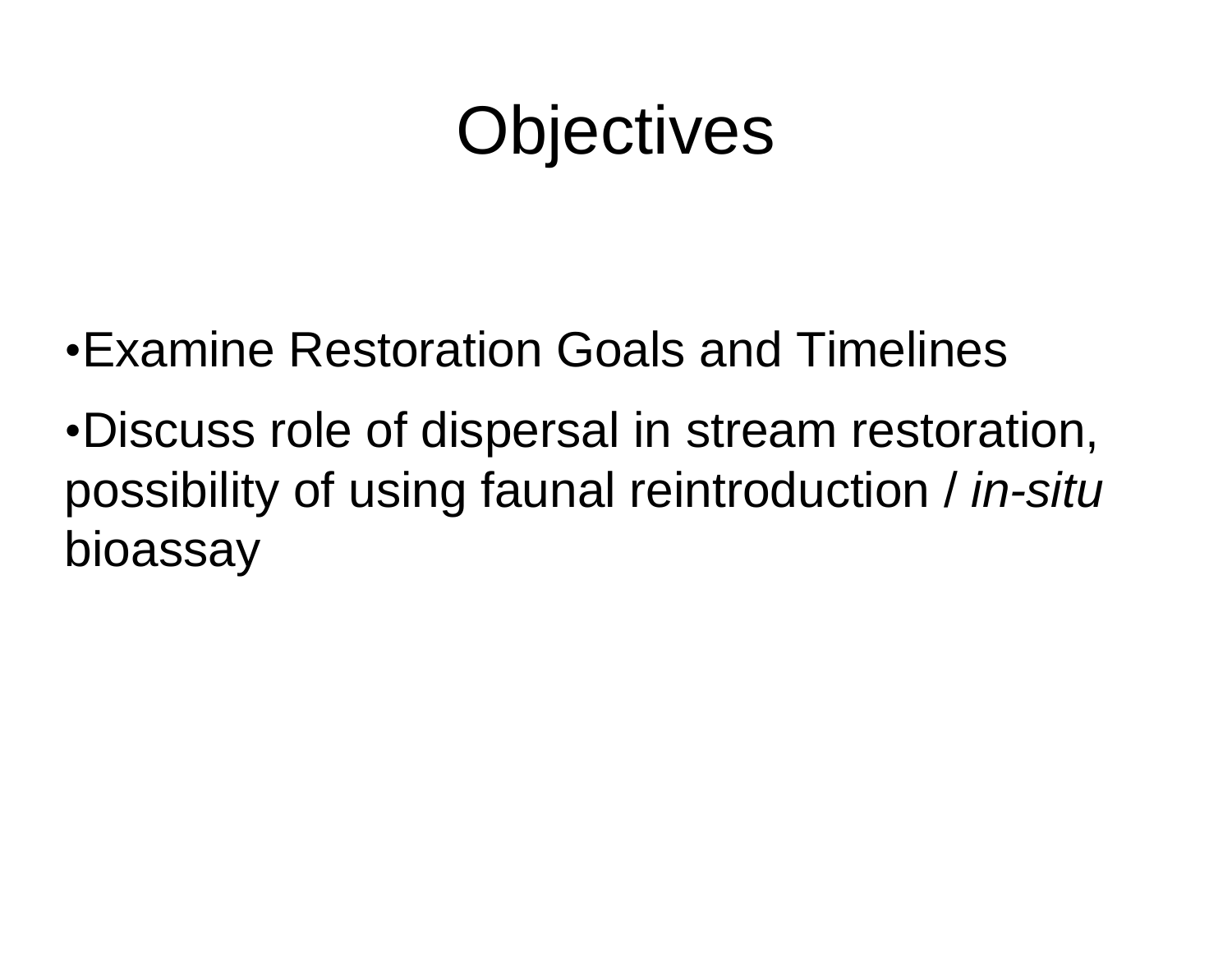### **Objectives**

- •Examine Restoration Goals and Timelines
- •Discuss role of dispersal in stream restoration, possibility of using faunal reintroduction / *in-situ*  bioassay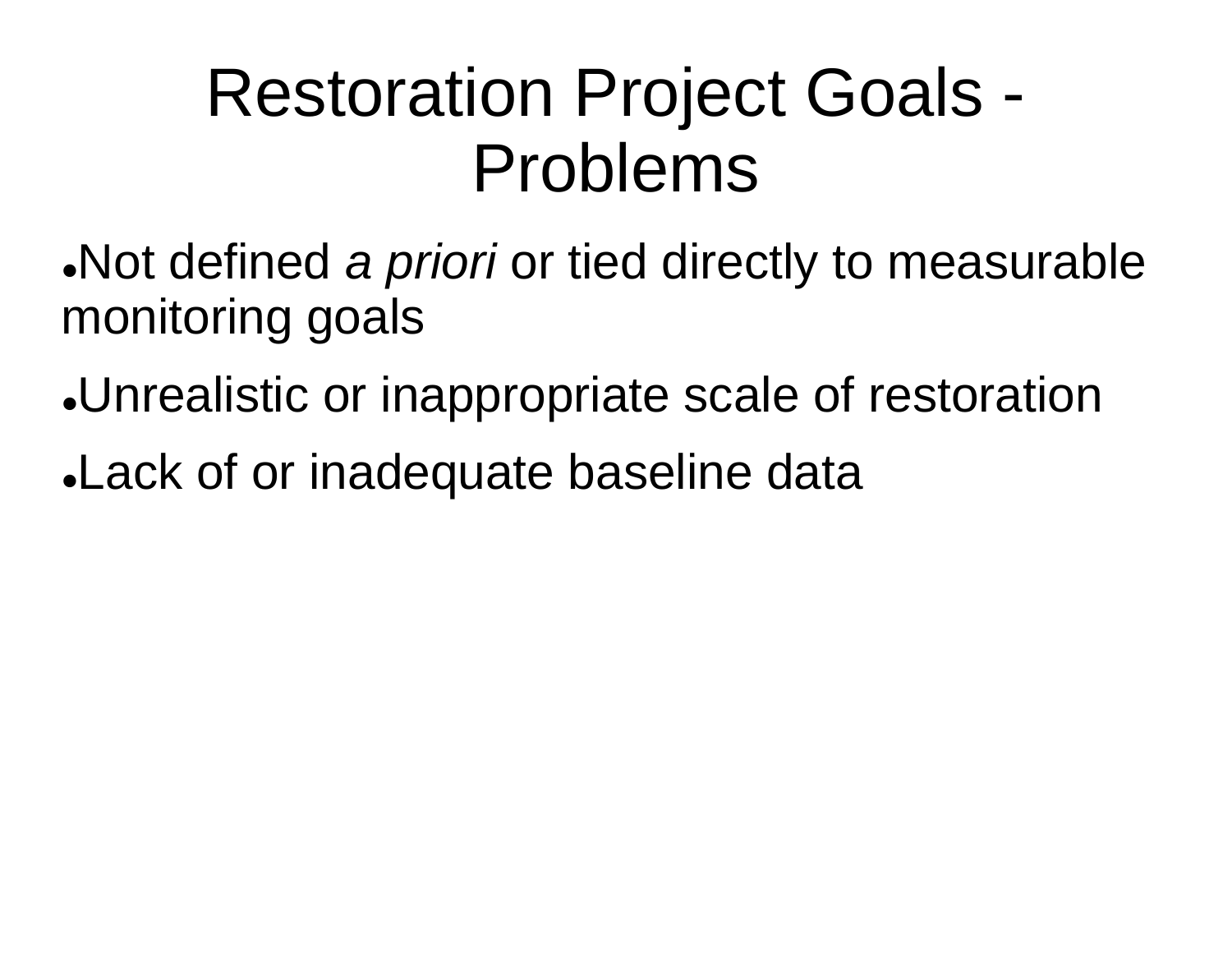### Restoration Project Goals - Problems

- Not defined *a priori* or tied directly to measurable monitoring goals
- Unrealistic or inappropriate scale of restoration
- Lack of or inadequate baseline data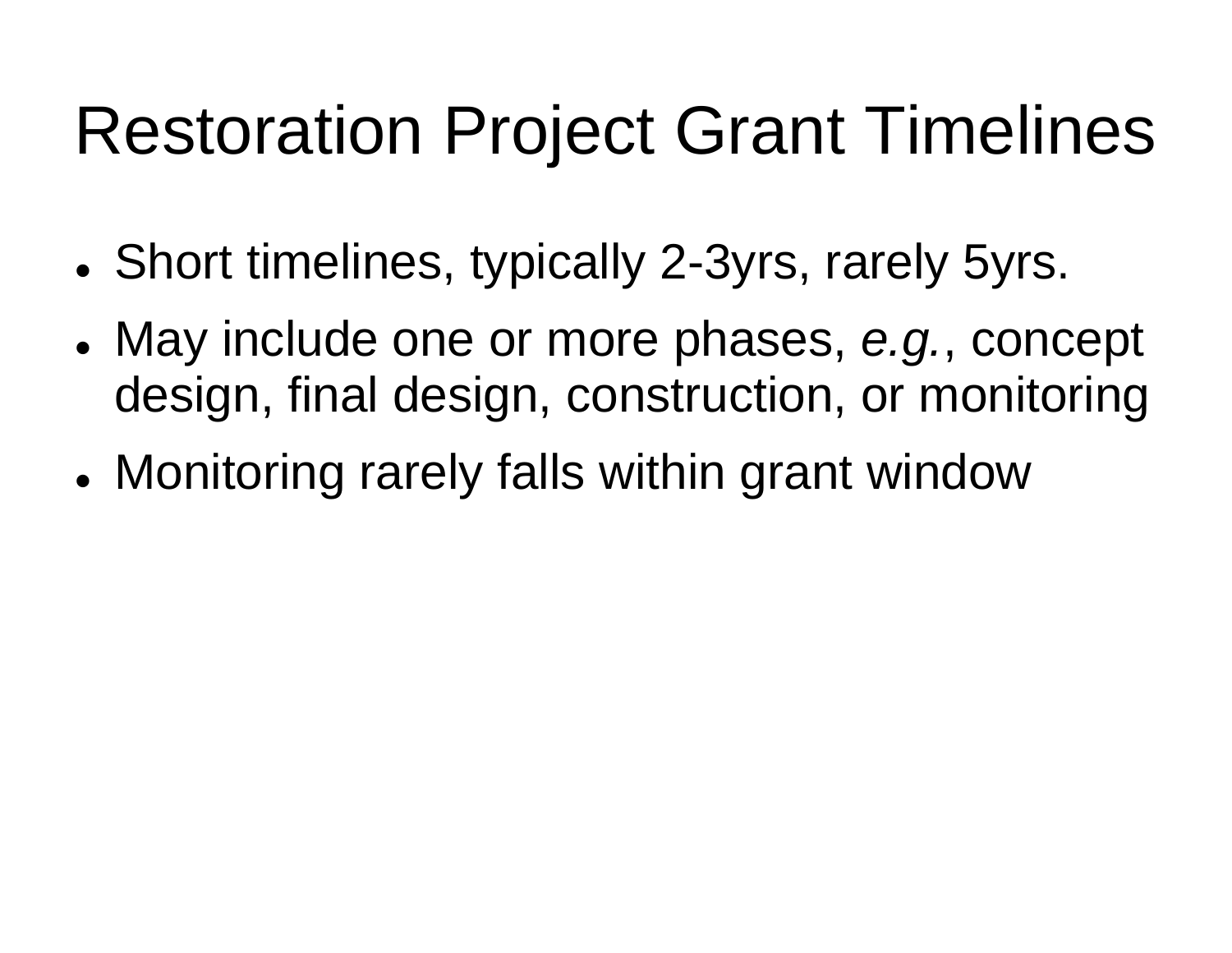### Restoration Project Grant Timelines

- Short timelines, typically 2-3yrs, rarely 5yrs.
- May include one or more phases, *e.g.*, concept design, final design, construction, or monitoring
- Monitoring rarely falls within grant window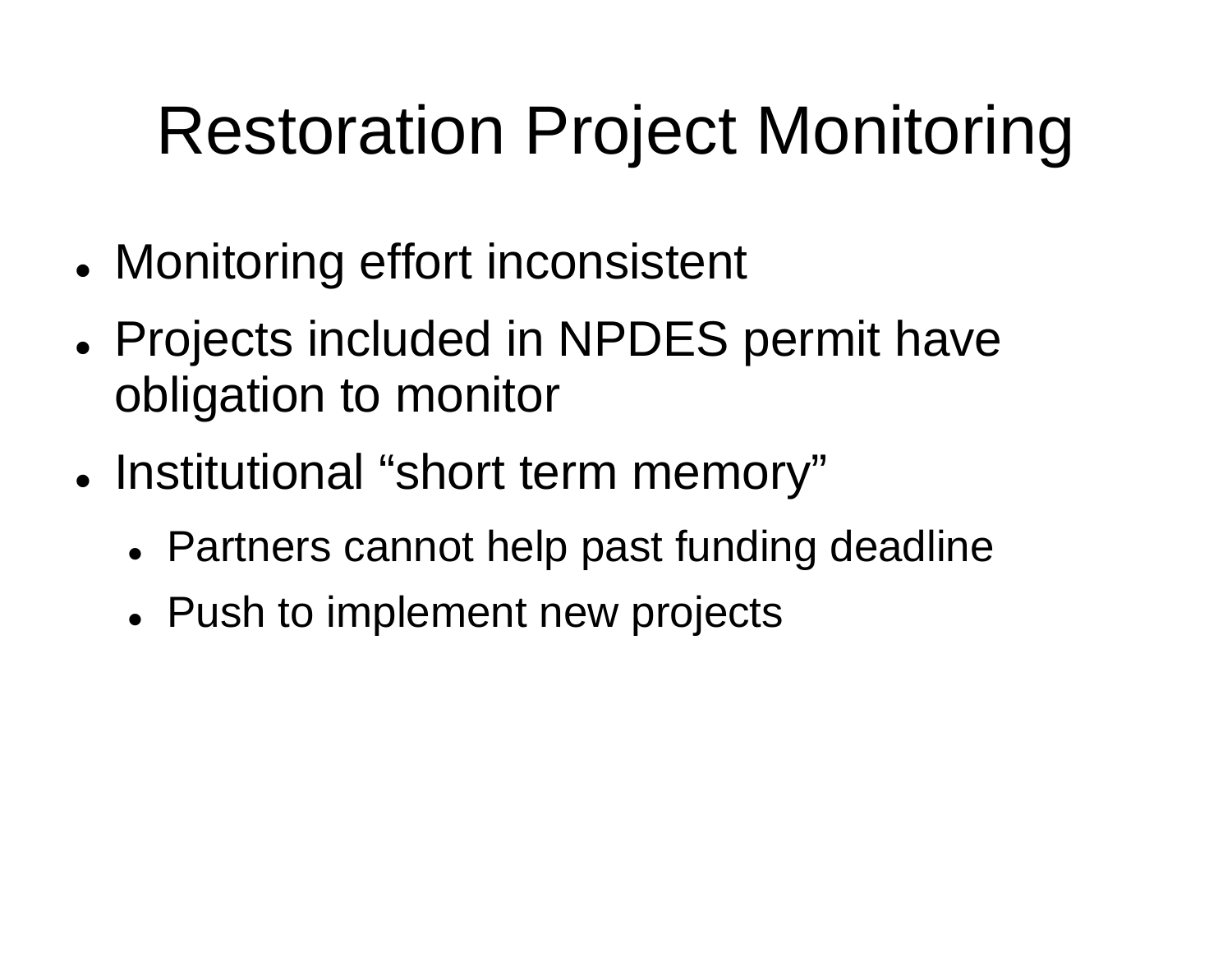## Restoration Project Monitoring

- Monitoring effort inconsistent
- Projects included in NPDES permit have obligation to monitor
- Institutional "short term memory"
	- Partners cannot help past funding deadline
	- Push to implement new projects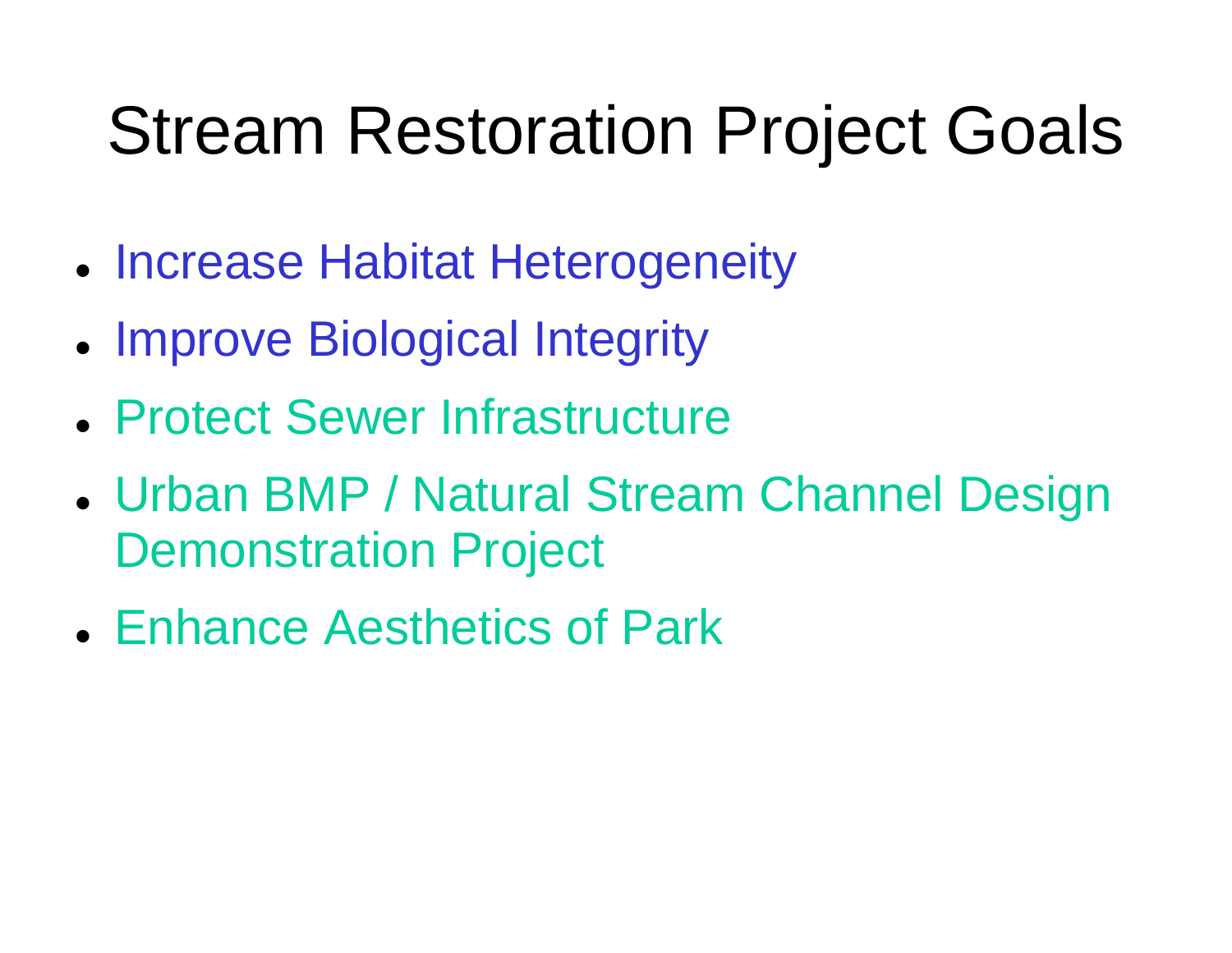### Stream Restoration Project Goals

- **Increase Habitat Heterogeneity**
- Improve Biological Integrity
- Protect Sewer Infrastructure
- Urban BMP / Natural Stream Channel Design Demonstration Project
- Enhance Aesthetics of Park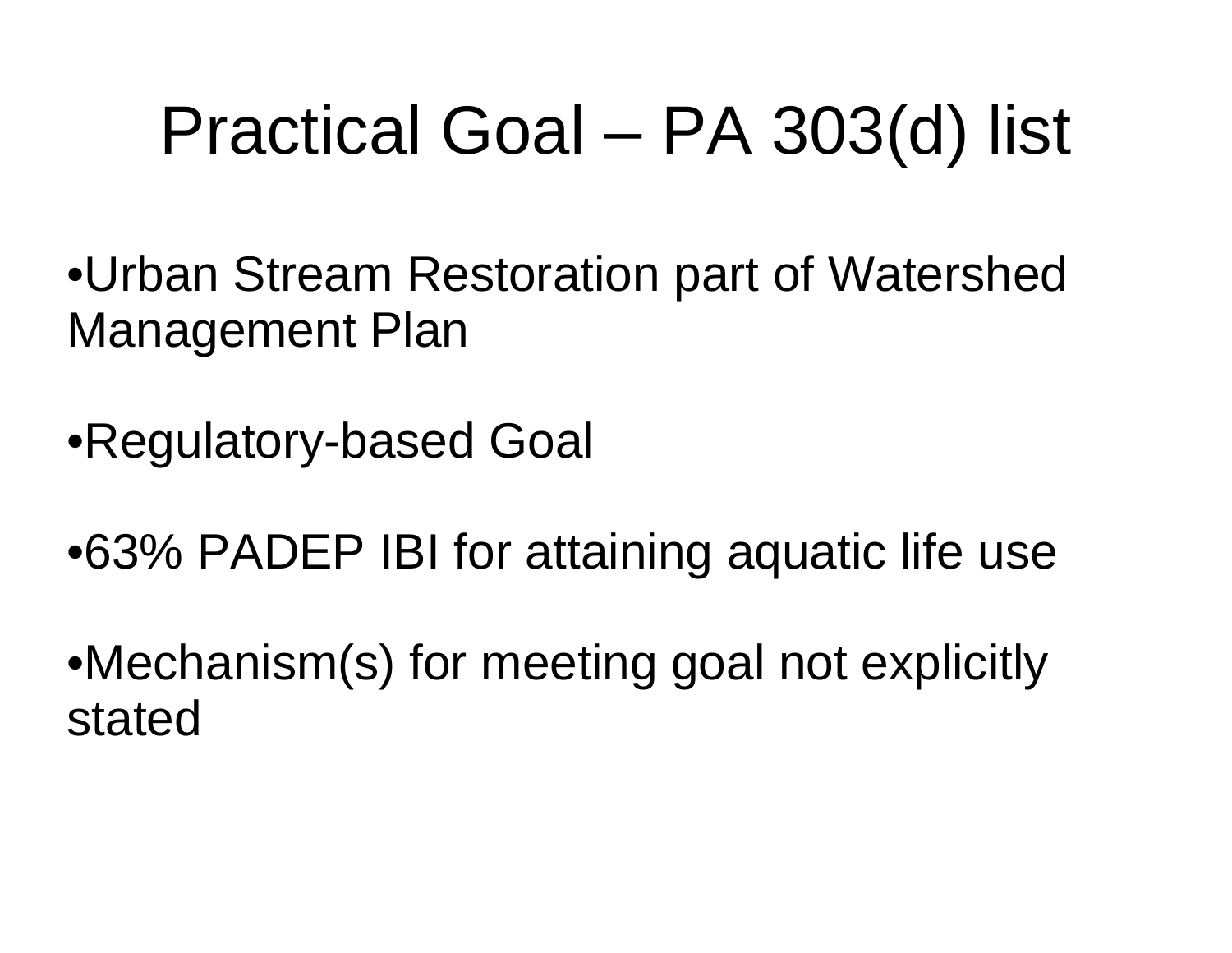# Practical Goal – PA 303(d) list

- •Urban Stream Restoration part of Watershed Management Plan
- •Regulatory-based Goal
- •63% PADEP IBI for attaining aquatic life use
- •Mechanism(s) for meeting goal not explicitly stated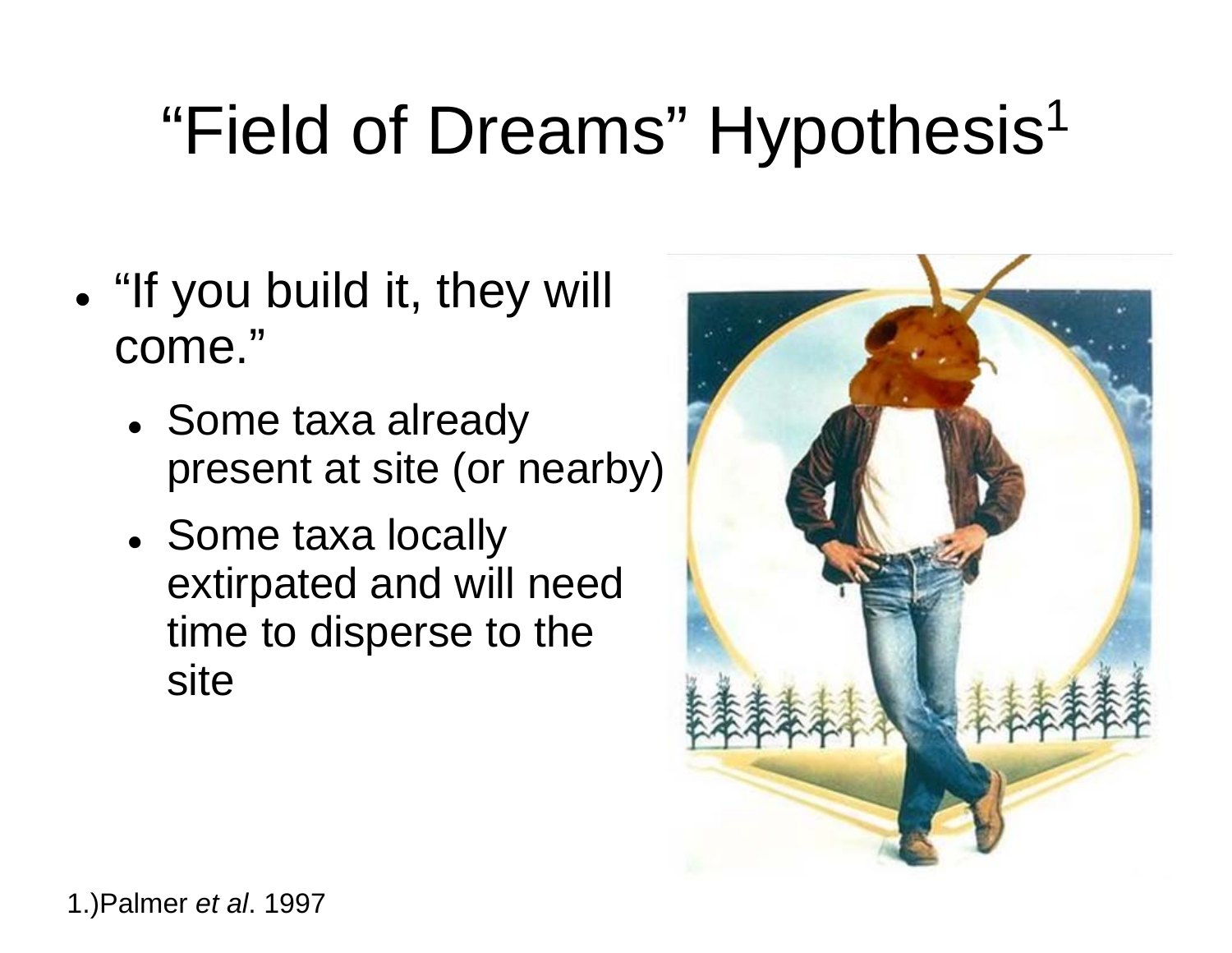# "Field of Dreams" Hypothesis<sup>1</sup>

- . "If you build it, they will come."
	- Some taxa already present at site (or nearby)
	- Some taxa locally extirpated and will need time to disperse to the site

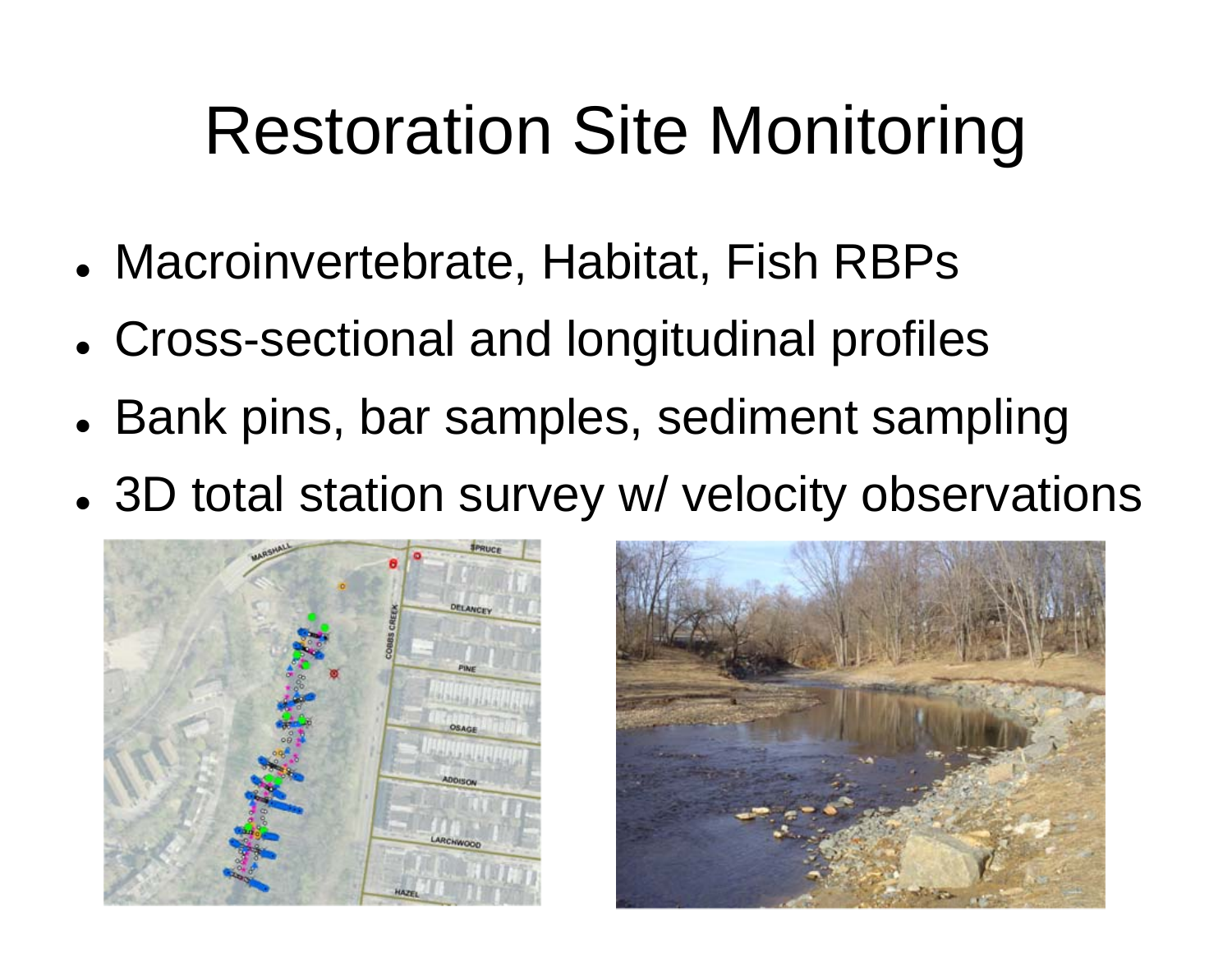### Restoration Site Monitoring

- Macroinvertebrate, Habitat, Fish RBPs
- Cross-sectional and longitudinal profiles
- Bank pins, bar samples, sediment sampling
- 3D total station survey w/ velocity observations



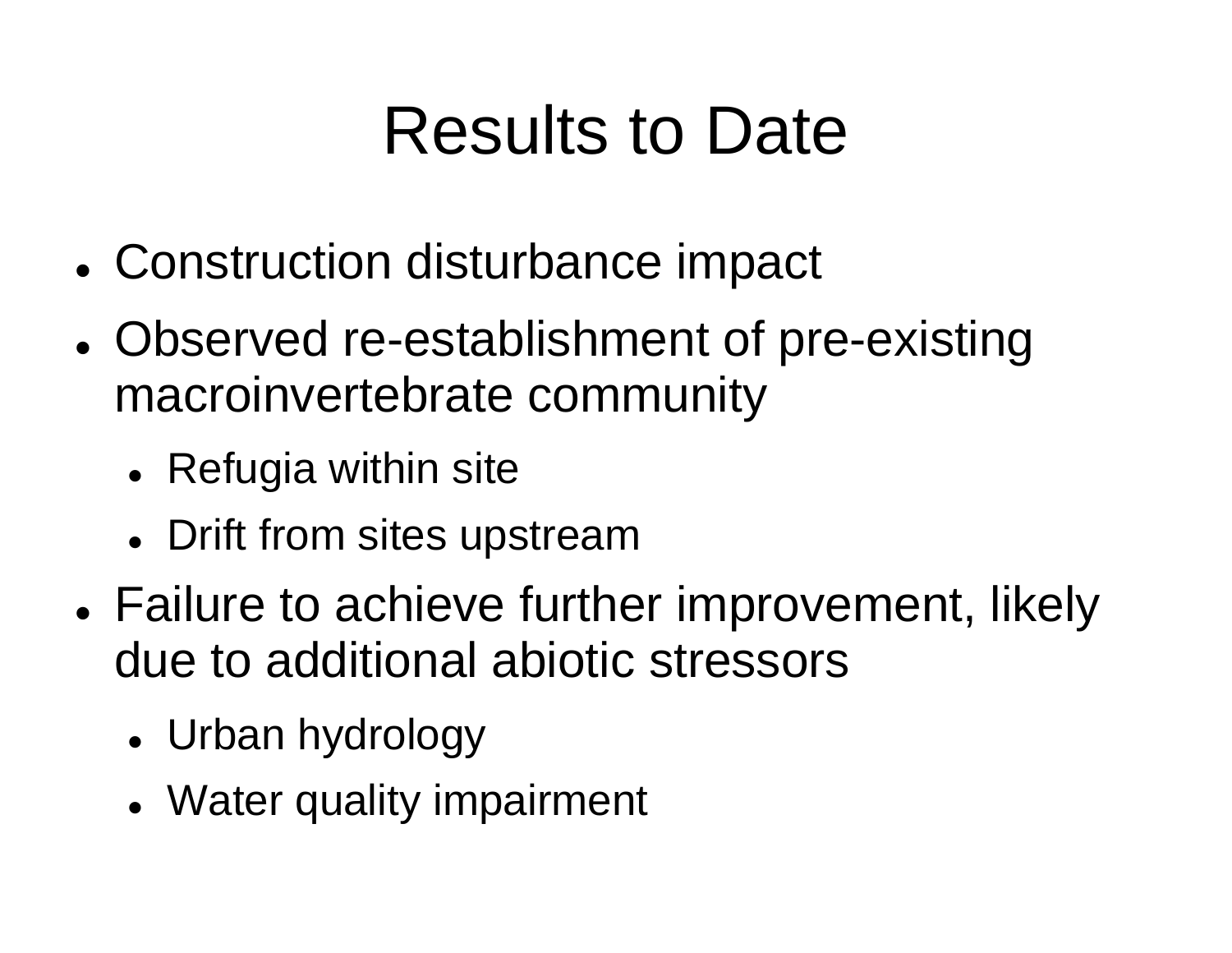### Results to Date

- Construction disturbance impact
- Observed re-establishment of pre-existing macroinvertebrate community
	- Refugia within site
	- Drift from sites upstream
- Failure to achieve further improvement, likely due to additional abiotic stressors
	- Urban hydrology
	- Water quality impairment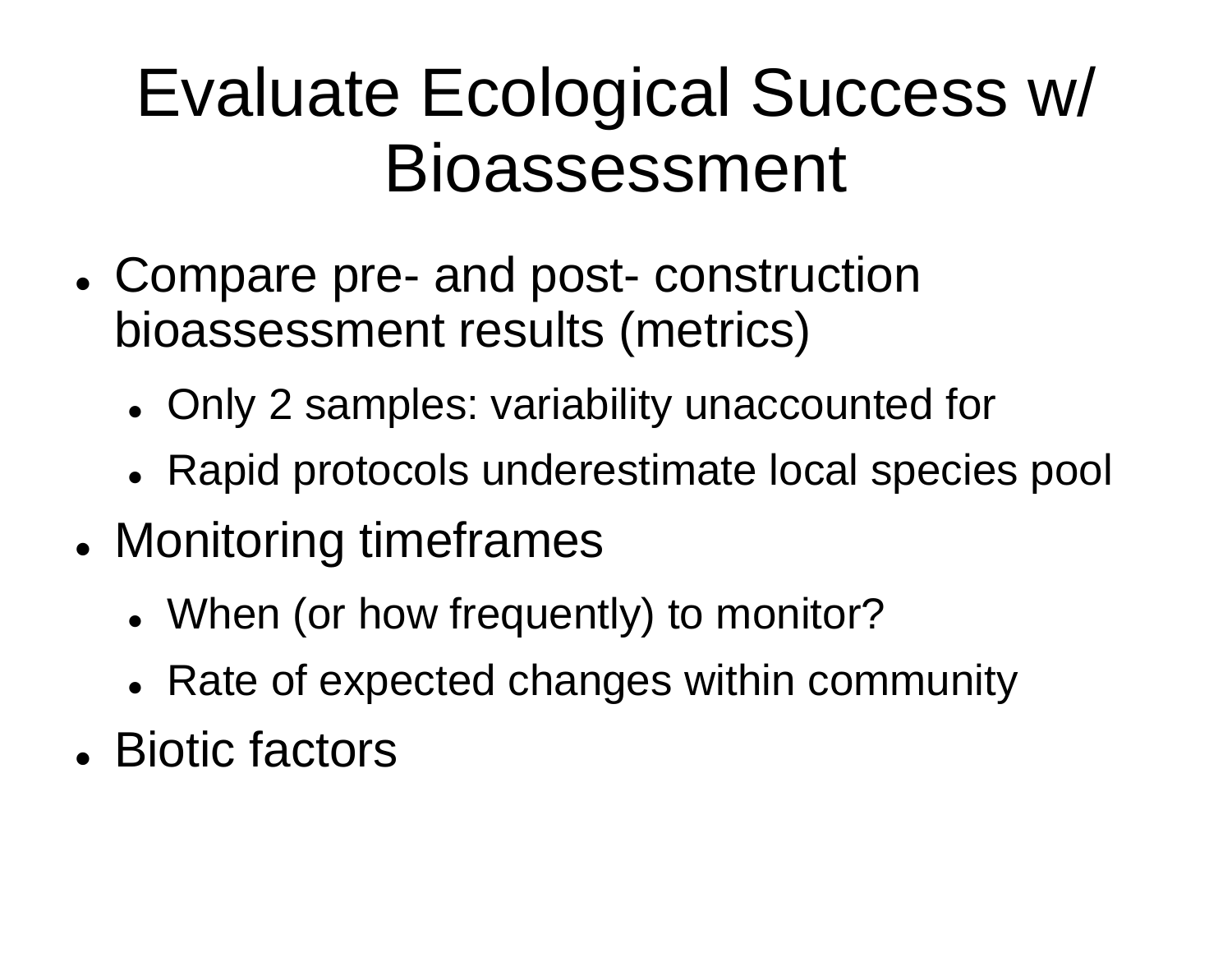### Evaluate Ecological Success w/ Bioassessment

- Compare pre- and post- construction bioassessment results (metrics)
	- Only 2 samples: variability unaccounted for
	- Rapid protocols underestimate local species pool
- Monitoring timeframes
	- When (or how frequently) to monitor?
	- Rate of expected changes within community
- Biotic factors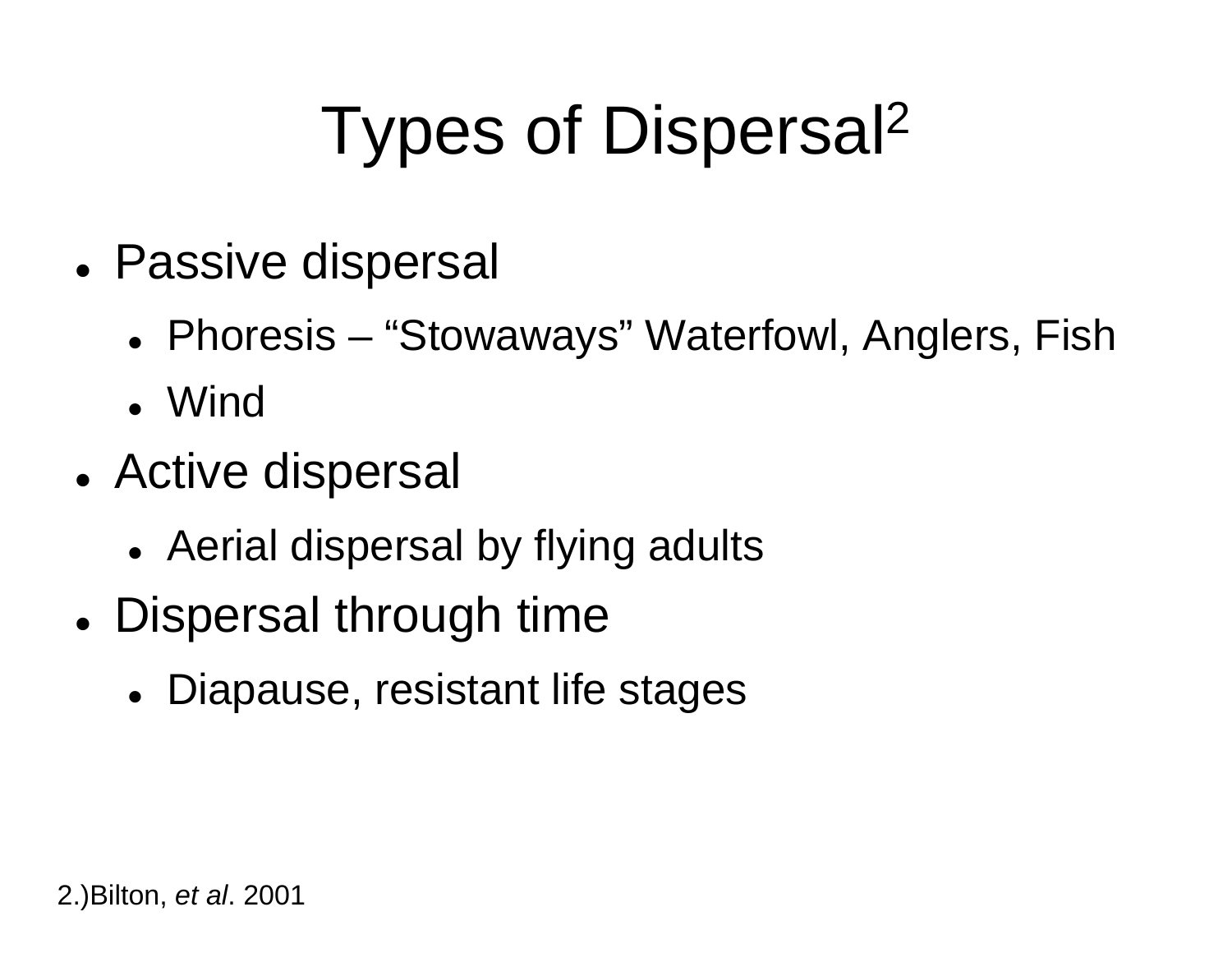# Types of Dispersal 2

- Passive dispersal
	- Phoresis "Stowaways" Waterfowl, Anglers, Fish
	- Wind
- Active dispersal
	- Aerial dispersal by flying adults
- Dispersal through time
	- Diapause, resistant life stages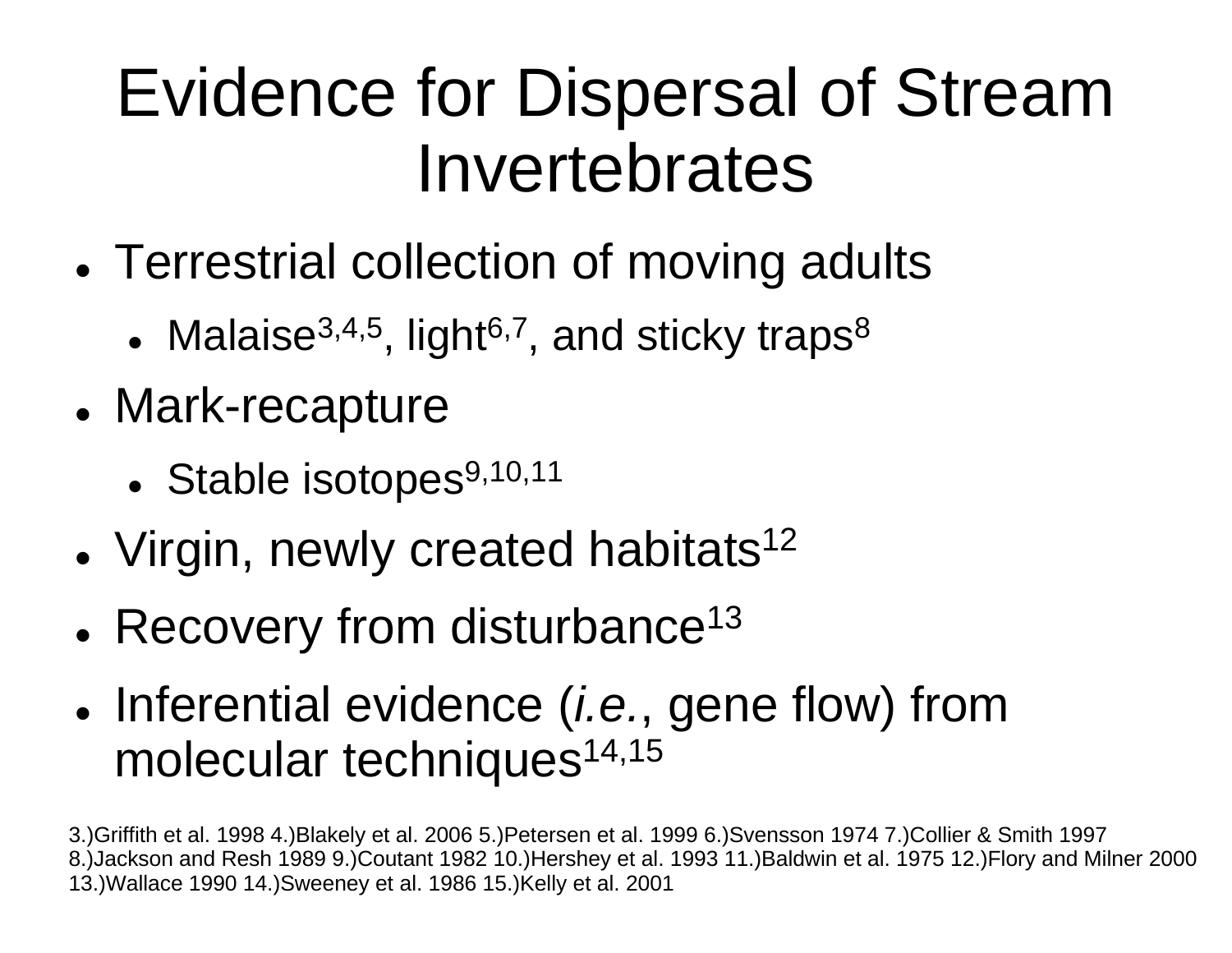### Evidence for Dispersal of Stream Invertebrates

- Terrestrial collection of moving adults
	- $\bullet \,$  Malaise $^{3,4,5},$  light $^{6,7},$  and sticky traps $^8$
- Mark-recapture
	- Stable isotopes $9,10,11$
- Virgin, newly created habitats<sup>12</sup>
- Recovery from disturbance<sup>13</sup>
- Inferential evidence (*i.e.*, gene flow) from molecular techniques<sup>14,15</sup>

3.)Griffith et al. 1998 4.)Blakely et al. 2006 5.)Petersen et al. 1999 6.)Svensson 1974 7.)Collier & Smith 1997 8.)Jackson and Resh 1989 9.)Coutant 1982 10.)Hershey et al. 1993 11.)Baldwin et al. 1975 12.)Flory and Milner 2000 13.)Wallace 1990 14.)Sweeney et al. 1986 15.)Kelly et al. 2001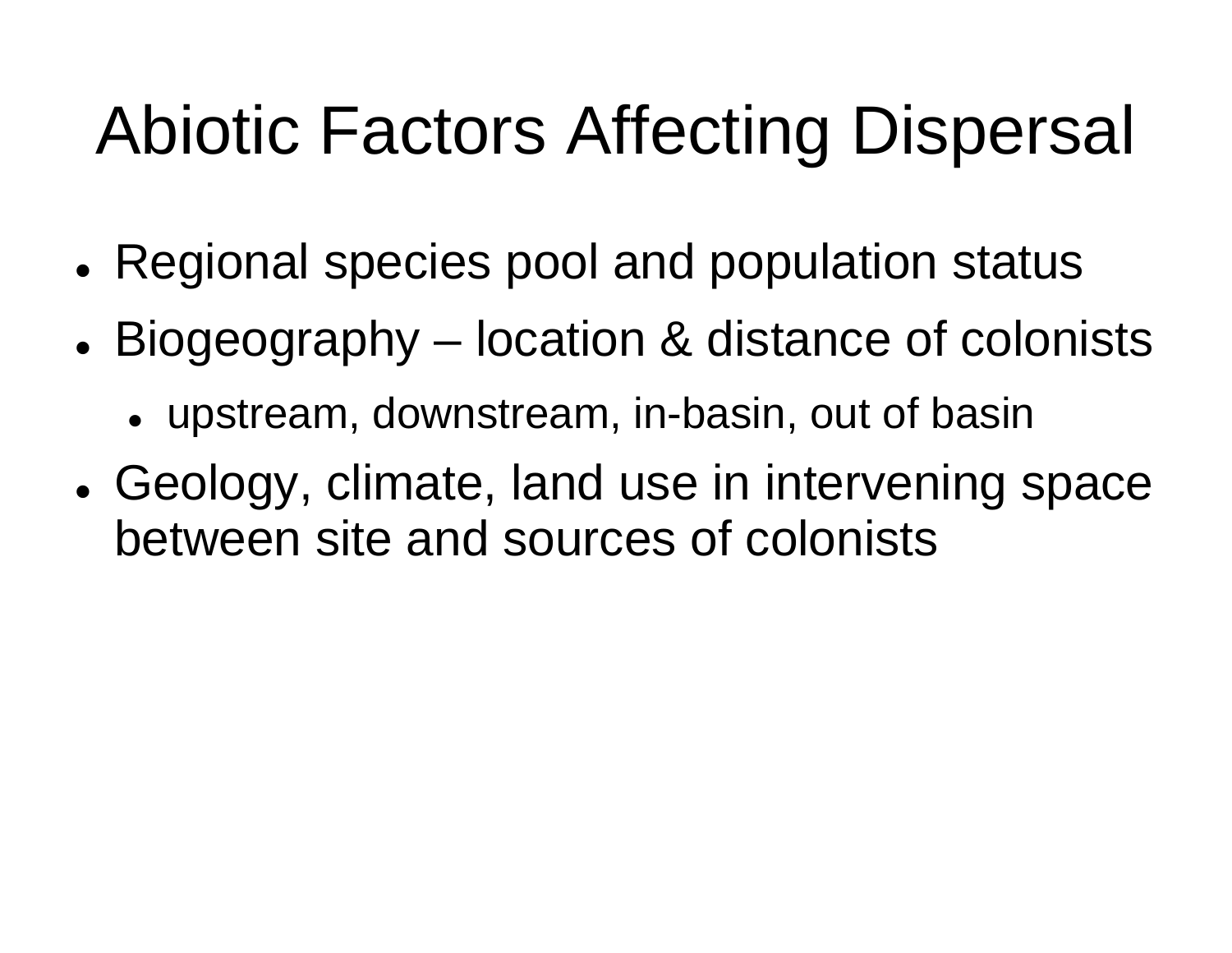# Abiotic Factors Affecting Dispersal

- Regional species pool and population status
- Biogeography location & distance of colonists
	- upstream, downstream, in-basin, out of basin
- Geology, climate, land use in intervening space between site and sources of colonists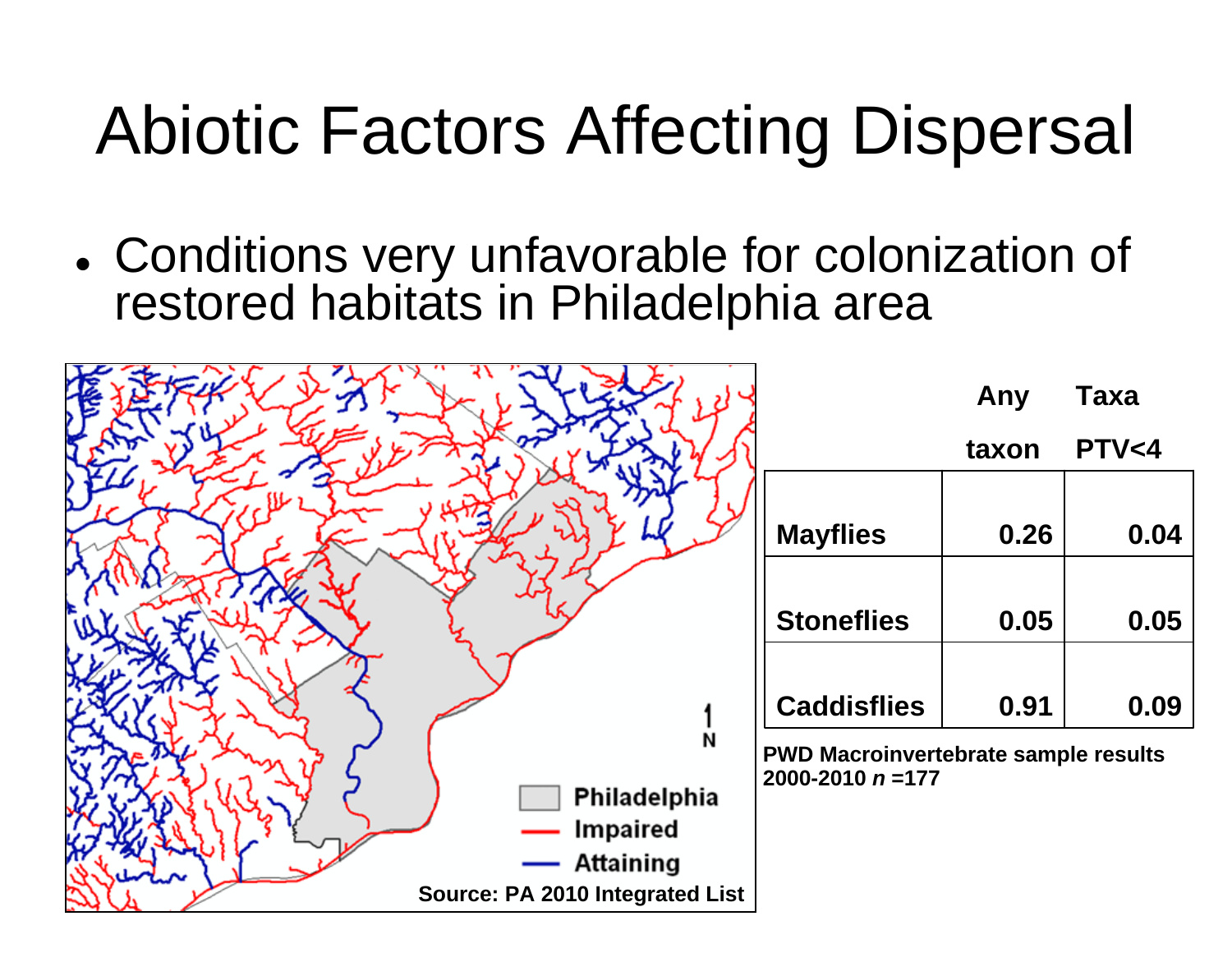# Abiotic Factors Affecting Dispersal

 Conditions very unfavorable for colonization of restored habitats in Philadelphia area

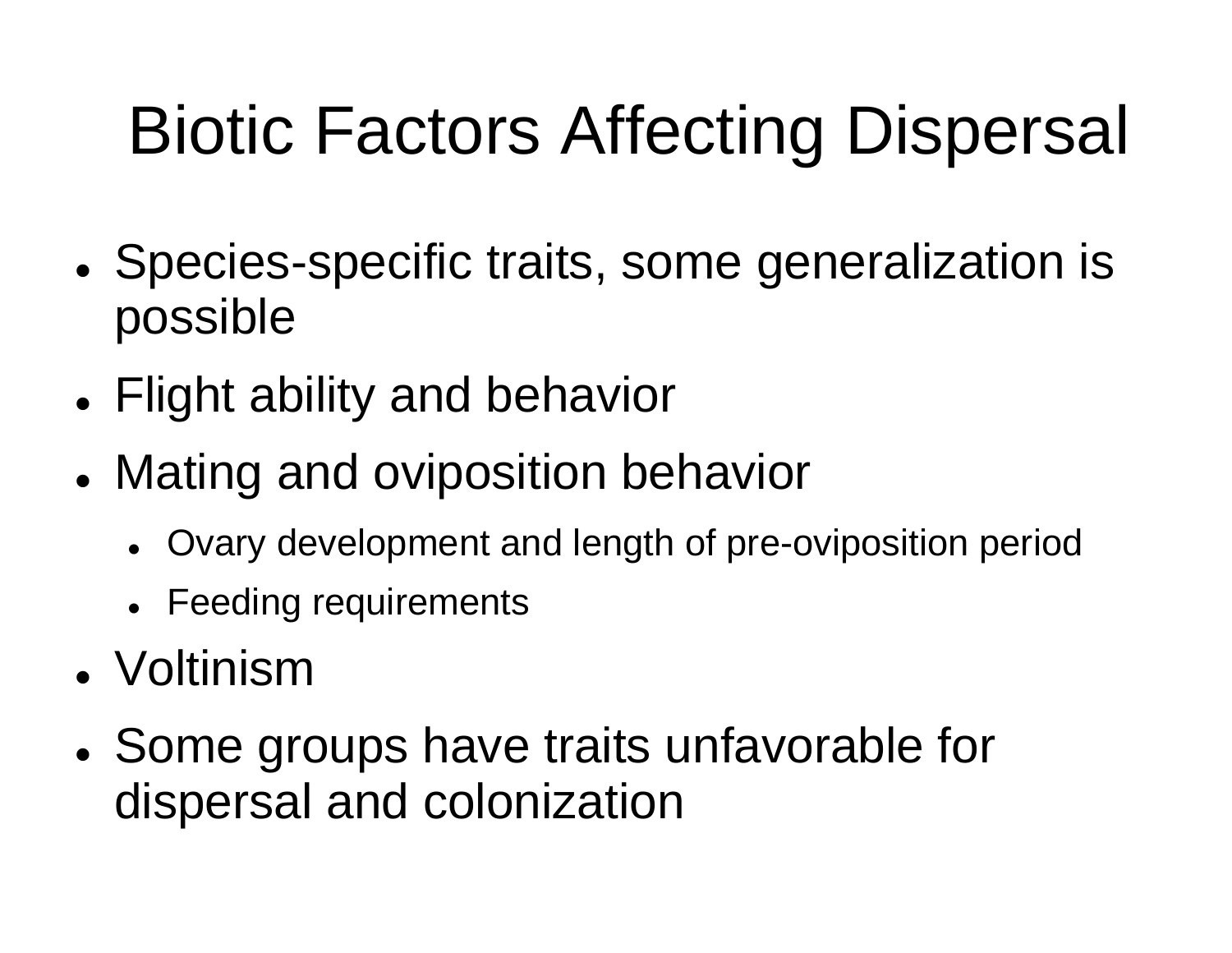# Biotic Factors Affecting Dispersal

- Species-specific traits, some generalization is possible
- Flight ability and behavior
- Mating and oviposition behavior
	- Ovary development and length of pre-oviposition period
	- Feeding requirements
- Voltinism
- Some groups have traits unfavorable for dispersal and colonization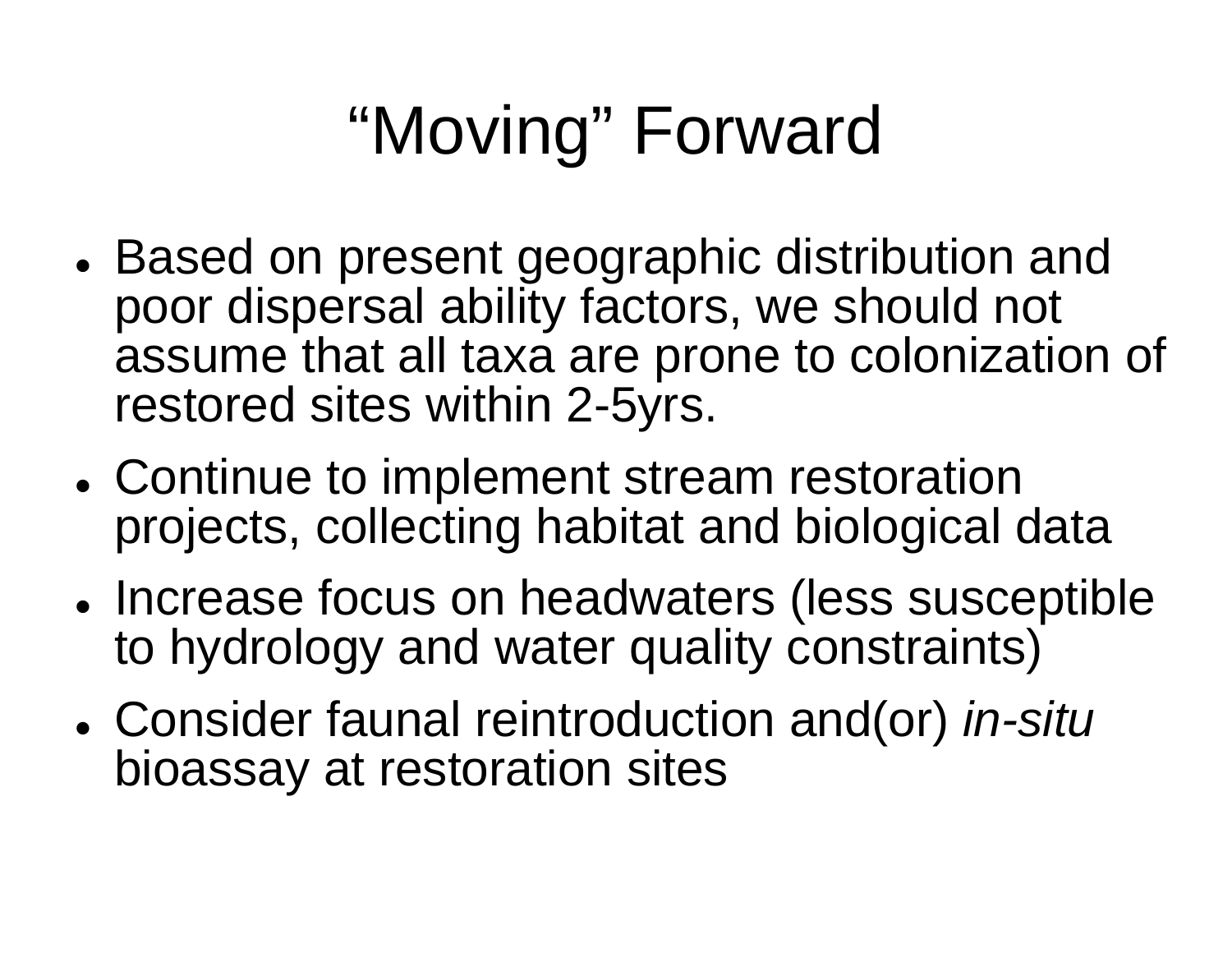# "Moving" Forward

- Based on present geographic distribution and poor dispersal ability factors, we should not assume that all taxa are prone to colonization of restored sites within 2-5yrs.
- Continue to implement stream restoration projects, collecting habitat and biological data
- Increase focus on headwaters (less susceptible to hydrology and water quality constraints)
- Consider faunal reintroduction and(or) *in-situ*  bioassay at restoration sites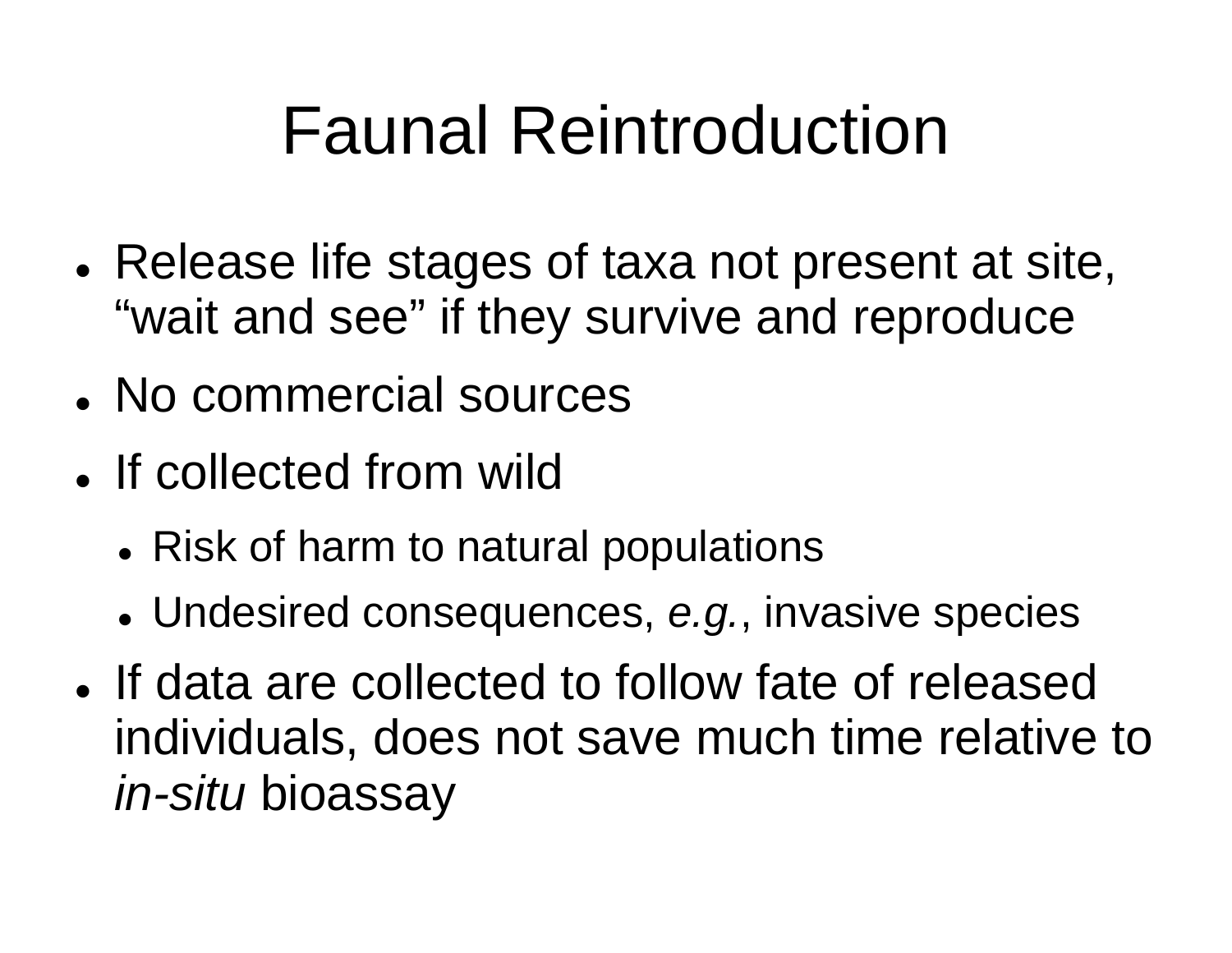### Faunal Reintroduction

- Release life stages of taxa not present at site, "wait and see" if they survive and reproduce
- No commercial sources
- If collected from wild
	- Risk of harm to natural populations
	- Undesired consequences, *e.g.*, invasive species
- If data are collected to follow fate of released individuals, does not save much time relative to *in-situ* bioassay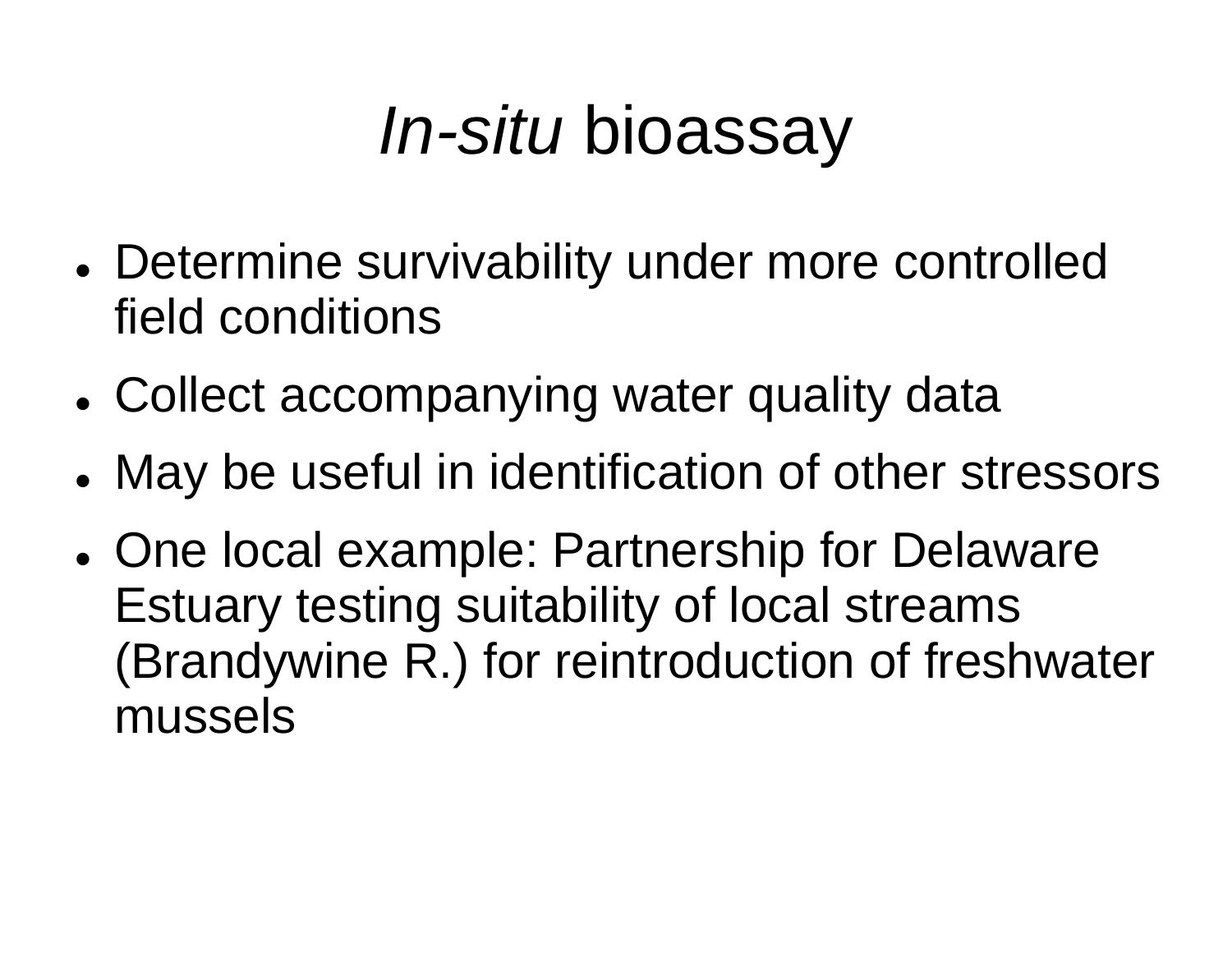### *In-situ* bioassay

- Determine survivability under more controlled field conditions
- Collect accompanying water quality data
- May be useful in identification of other stressors
- One local example: Partnership for Delaware Estuary testing suitability of local streams (Brandywine R.) for reintroduction of freshwater mussels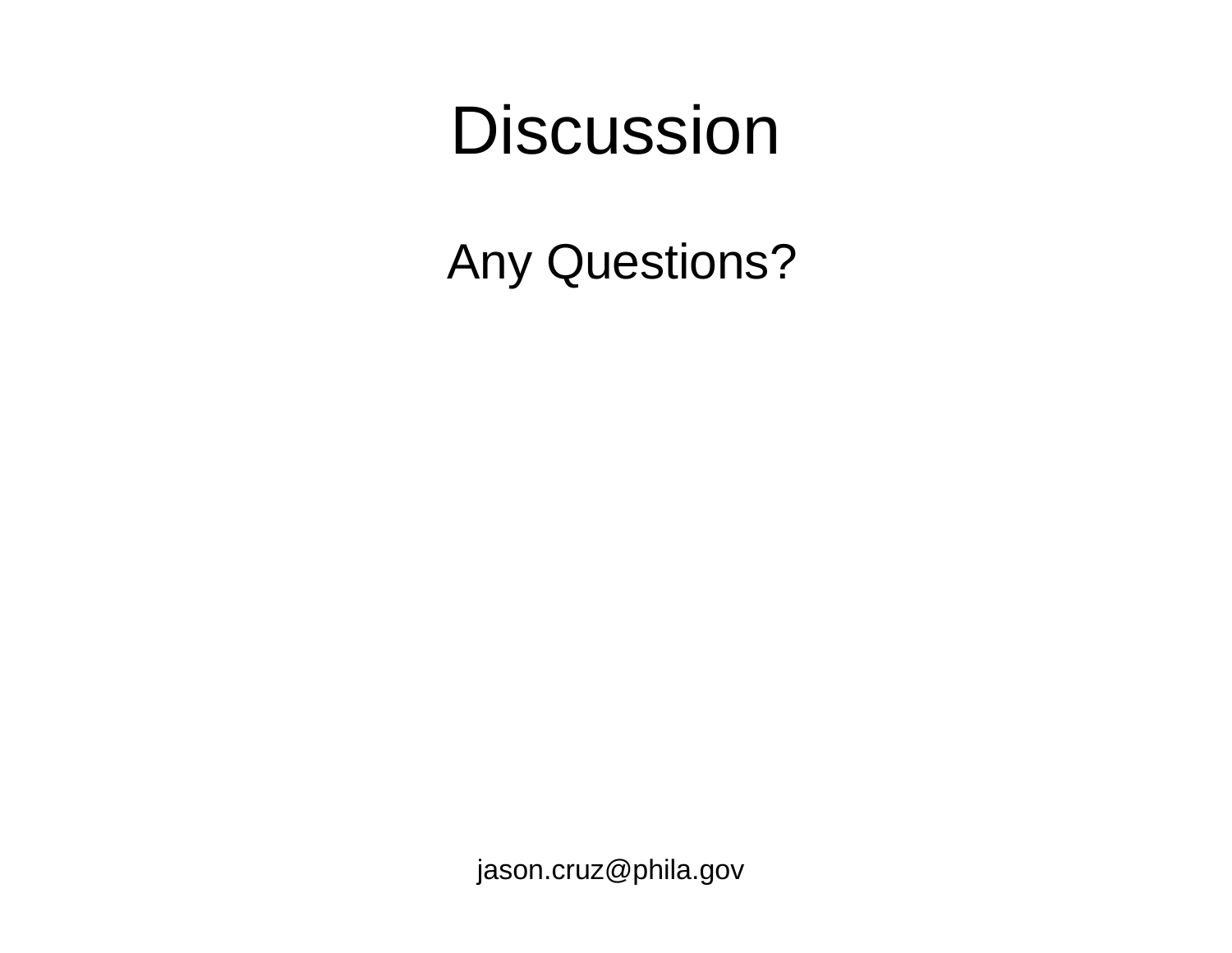#### **Discussion**

Any Questions?

jason.cruz@phila.gov